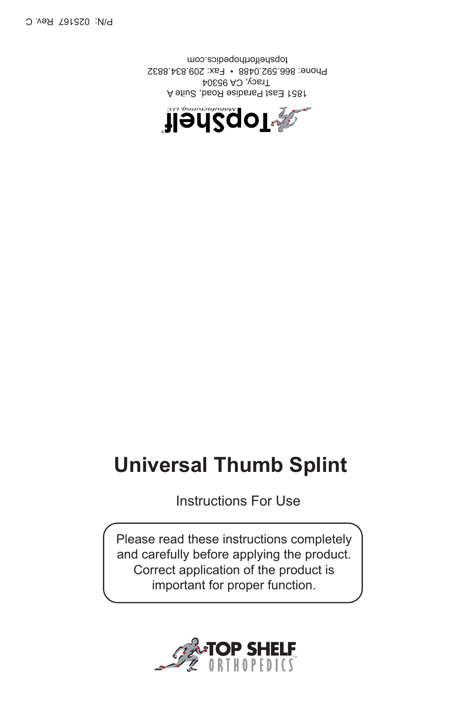

Please read these instructions completely and carefully before applying the product. Correct application of the product is important for proper function.

## **Universal Thumb Splint**

Instructions For Use



A 1851 East Paradise Road, Suite  $T$ racy, CA 95304 Phone: 866.592.0488 • Fax: 209.834.8832 topshelforthopedics.com